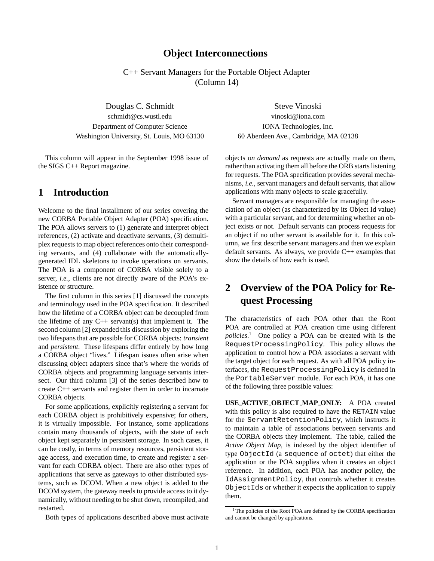### **Object Interconnections**

C++ Servant Managers for the Portable Object Adapter (Column 14)

Douglas C. Schmidt Steve Vinoski schmidt@cs.wustl.edu vinoski@iona.com Department of Computer Science IONA Technologies, Inc. Washington University, St. Louis, MO 63130 60 Aberdeen Ave., Cambridge, MA 02138

This column will appear in the September 1998 issue of the SIGS C++ Report magazine.

## **1 Introduction**

Welcome to the final installment of our series covering the new CORBA Portable Object Adapter (POA) specification. The POA allows servers to (1) generate and interpret object references, (2) activate and deactivate servants, (3) demultiplex requests to map object references onto their corresponding servants, and (4) collaborate with the automaticallygenerated IDL skeletons to invoke operations on servants. The POA is a component of CORBA visible solely to a server, *i.e.*, clients are not directly aware of the POA's existence or structure.

The first column in this series [1] discussed the concepts and terminology used in the POA specification. It described how the lifetime of a CORBA object can be decoupled from the lifetime of any  $C_{++}$  servant(s) that implement it. The second column [2] expanded this discussion by exploring the two lifespans that are possible for CORBA objects: *transient* and *persistent*. These lifespans differ entirely by how long a CORBA object "lives." Lifespan issues often arise when discussing object adapters since that's where the worlds of CORBA objects and programming language servants intersect. Our third column [3] of the series described how to create C++ servants and register them in order to incarnate CORBA objects.

For some applications, explicitly registering a servant for each CORBA object is prohibitively expensive; for others, it is virtually impossible. For instance, some applications contain many thousands of objects, with the state of each object kept separately in persistent storage. In such cases, it can be costly, in terms of memory resources, persistent storage access, and execution time, to create and register a servant for each CORBA object. There are also other types of applications that serve as gateways to other distributed systems, such as DCOM. When a new object is added to the DCOM system, the gateway needs to provide access to it dynamically, without needing to be shut down, recompiled, and restarted.

Both types of applications described above must activate

objects *on demand* as requests are actually made on them, rather than activating them all before the ORB starts listening for requests. The POA specification provides several mechanisms, *i.e.*, servant managers and default servants, that allow applications with many objects to scale gracefully.

Servant managers are responsible for managing the association of an object (as characterized by its Object Id value) with a particular servant, and for determining whether an object exists or not. Default servants can process requests for an object if no other servant is available for it. In this column, we first describe servant managers and then we explain default servants. As always, we provide C++ examples that show the details of how each is used.

# **2 Overview of the POA Policy for Request Processing**

The characteristics of each POA other than the Root POA are controlled at POA creation time using different *policies*.<sup>1</sup> One policy a POA can be created with is the RequestProcessingPolicy. This policy allows the application to control how a POA associates a servant with the target object for each request. As with all POA policy interfaces, the RequestProcessingPolicy is defined in the PortableServer module. For each POA, it has one of the following three possible values:

**USE ACTIVE OBJECT MAP ONLY:** A POA created with this policy is also required to have the RETAIN value for the ServantRetentionPolicy, which instructs it to maintain a table of associations between servants and the CORBA objects they implement. The table, called the *Active Object Map*, is indexed by the object identifier of type ObjectId (a sequence of octet) that either the application or the POA supplies when it creates an object reference. In addition, each POA has another policy, the IdAssignmentPolicy, that controls whether it creates ObjectIds or whether it expects the application to supply them.

<sup>&</sup>lt;sup>1</sup> The policies of the Root POA are defined by the CORBA specification and cannot be changed by applications.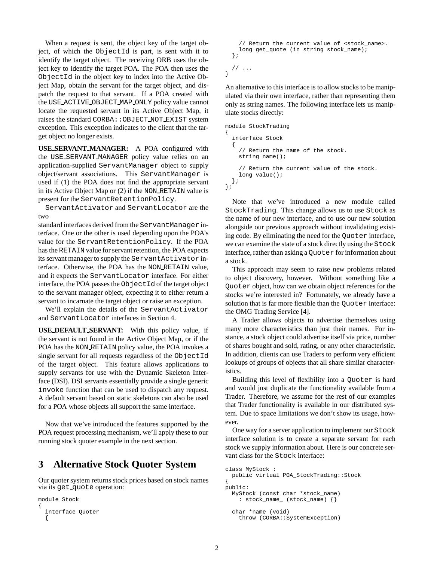When a request is sent, the object key of the target object, of which the ObjectId is part, is sent with it to identify the target object. The receiving ORB uses the object key to identify the target POA. The POA then uses the ObjectId in the object key to index into the Active Object Map, obtain the servant for the target object, and dispatch the request to that servant. If a POA created with the USE ACTIVE OBJECT MAP ONLY policy value cannot locate the requested servant in its Active Object Map, it raises the standard CORBA::OBJECT NOT EXIST system exception. This exception indicates to the client that the target object no longer exists.

**USE SERVANT MANAGER:** A POA configured with the USE SERVANT MANAGER policy value relies on an application-supplied ServantManager object to supply object/servant associations. This ServantManager is used if (1) the POA does not find the appropriate servant in its Active Object Map or (2) if the NON RETAIN value is present for the ServantRetentionPolicy.

ServantActivator and ServantLocator are the two

standard interfaces derived from the ServantManager interface. One or the other is used depending upon the POA's value for the ServantRetentionPolicy. If the POA has the RETAIN value for servant retention, the POA expects its servant manager to supply the ServantActivator interface. Otherwise, the POA has the NON RETAIN value, and it expects the ServantLocator interface. For either interface, the POA passes the ObjectId of the target object to the servant manager object, expecting it to either return a servant to incarnate the target object or raise an exception.

We'll explain the details of the ServantActivator and ServantLocator interfaces in Section 4.

**USE DEFAULT SERVANT:** With this policy value, if the servant is not found in the Active Object Map, or if the POA has the NON RETAIN policy value, the POA invokes a single servant for all requests regardless of the ObjectId of the target object. This feature allows applications to supply servants for use with the Dynamic Skeleton Interface (DSI). DSI servants essentially provide a single generic invoke function that can be used to dispatch any request. A default servant based on static skeletons can also be used for a POA whose objects all support the same interface.

Now that we've introduced the features supported by the POA request processing mechanism, we'll apply these to our running stock quoter example in the next section.

## **3 Alternative Stock Quoter System**

Our quoter system returns stock prices based on stock names via its get quote operation:

```
module Stock
{
  interface Quoter
  {
```

```
// Return the current value of <stock name>.
 long get_quote (in string stock_name);
};
// ...
```
}

An alternative to this interface is to allow stocks to be manipulated via their own interface, rather than representing them only as string names. The following interface lets us manipulate stocks directly:

```
module StockTrading
{
  interface Stock
  {
    // Return the name of the stock.
    string name();
    // Return the current value of the stock.
    long value();
 };
};
```
Note that we've introduced a new module called StockTrading. This change allows us to use Stock as the name of our new interface, and to use our new solution alongside our previous approach without invalidating existing code. By eliminating the need for the Quoter interface, we can examine the state of a stock directly using the Stock interface, rather than asking a Quoter for information about a stock.

This approach may seem to raise new problems related to object discovery, however. Without something like a Quoter object, how can we obtain object references for the stocks we're interested in? Fortunately, we already have a solution that is far more flexible than the Quoter interface: the OMG Trading Service [4].

A Trader allows objects to advertise themselves using many more characteristics than just their names. For instance, a stock object could advertise itself via price, number of shares bought and sold, rating, or any other characteristic. In addition, clients can use Traders to perform very efficient lookups of groups of objects that all share similar characteristics.

Building this level of flexibility into a Quoter is hard and would just duplicate the functionality available from a Trader. Therefore, we assume for the rest of our examples that Trader functionality is available in our distributed system. Due to space limitations we don't show its usage, however.

One way for a server application to implement our Stock interface solution is to create a separate servant for each stock we supply information about. Here is our concrete servant class for the Stock interface:

```
class MyStock :
  public virtual POA_StockTrading::Stock
{
public:
  MyStock (const char *stock_name)
    : stock_name_ (stock_name) {}
  char *name (void)
    throw (CORBA::SystemException)
```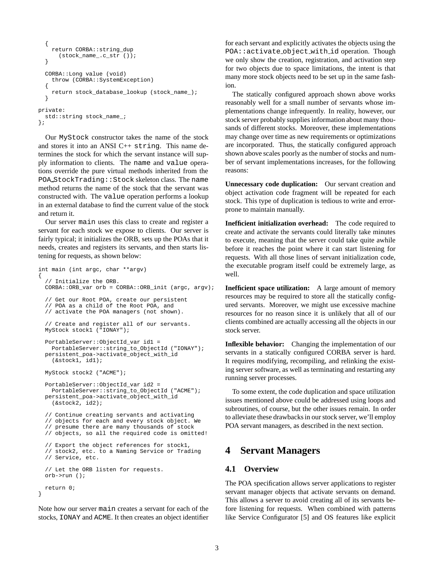```
{
    return CORBA::string_dup
      (stock_name_.c_str ());
  }
  CORBA::Long value (void)
    throw (CORBA::SystemException)
  {
    return stock_database_lookup (stock_name_);
  }
private:
  std::string stock name ;
};
```
Our MyStock constructor takes the name of the stock and stores it into an ANSI C++ string. This name determines the stock for which the servant instance will supply information to clients. The name and value operations override the pure virtual methods inherited from the POA StockTrading::Stock skeleton class. The name method returns the name of the stock that the servant was constructed with. The value operation performs a lookup in an external database to find the current value of the stock and return it.

Our server main uses this class to create and register a servant for each stock we expose to clients. Our server is fairly typical; it initializes the ORB, sets up the POAs that it needs, creates and registers its servants, and then starts listening for requests, as shown below:

```
int main (int argc, char **argv)
{
  // Initialize the ORB.
 CORBA::ORB_var orb = CORBA::ORB_init (argc, argv);
  // Get our Root POA, create our persistent
  // POA as a child of the Root POA, and
  // activate the POA managers (not shown).
  // Create and register all of our servants.
 MyStock stock1 ("IONAY");
  PortableServer::ObjectId_var id1 =
    PortableServer::string_to_ObjectId ("IONAY");
  persistent_poa->activate_object_with_id
    (&stock1, id1);
  MyStock stock2 ("ACME");
  PortableServer::ObjectId_var id2 =
    PortableServer::string_to_ObjectId ("ACME");
 persistent_poa->activate_object_with_id
    (&stock2, id2);
  // Continue creating servants and activating
  // objects for each and every stock object. We
  // presume there are many thousands of stock
  // objects, so all the required code is omitted!
  // Export the object references for stock1,
  // stock2, etc. to a Naming Service or Trading
  // Service, etc.
  // Let the ORB listen for requests.
  orb->run ();
 return 0;
}
```
Note how our server main creates a servant for each of the stocks, IONAY and ACME. It then creates an object identifier

for each servant and explicitly activates the objects using the POA::activate object with id operation. Though we only show the creation, registration, and activation step for two objects due to space limitations, the intent is that many more stock objects need to be set up in the same fashion.

The statically configured approach shown above works reasonably well for a small number of servants whose implementations change infrequently. In reality, however, our stock server probably supplies information about many thousands of different stocks. Moreover, these implementations may change over time as new requirements or optimizations are incorporated. Thus, the statically configured approach shown above scales poorly as the number of stocks and number of servant implementations increases, for the following reasons:

**Unnecessary code duplication:** Our servant creation and object activation code fragment will be repeated for each stock. This type of duplication is tedious to write and errorprone to maintain manually.

**Inefficient initialization overhead:** The code required to create and activate the servants could literally take minutes to execute, meaning that the server could take quite awhile before it reaches the point where it can start listening for requests. With all those lines of servant initialization code, the executable program itself could be extremely large, as well.

**Inefficient space utilization:** A large amount of memory resources may be required to store all the statically configured servants. Moreover, we might use excessive machine resources for no reason since it is unlikely that all of our clients combined are actually accessing all the objects in our stock server.

**Inflexible behavior:** Changing the implementation of our servants in a statically configured CORBA server is hard. It requires modifying, recompiling, and relinking the existing server software, as well as terminating and restarting any running server processes.

To some extent, the code duplication and space utilization issues mentioned above could be addressed using loops and subroutines, of course, but the other issues remain. In order to alleviate these drawbacks in our stock server, we'll employ POA servant managers, as described in the next section.

## **4 Servant Managers**

#### **4.1 Overview**

The POA specification allows server applications to register servant manager objects that activate servants on demand. This allows a server to avoid creating all of its servants before listening for requests. When combined with patterns like Service Configurator [5] and OS features like explicit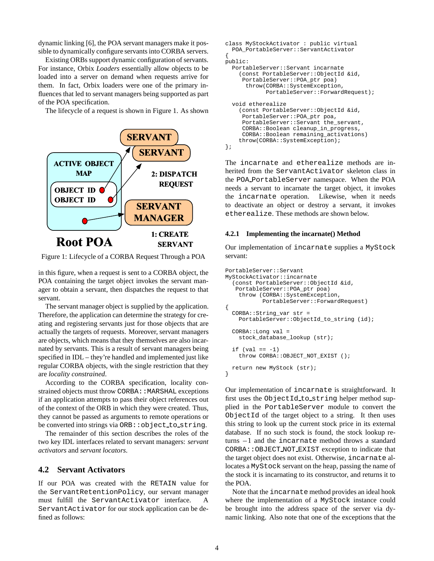dynamic linking [6], the POA servant managers make it possible to dynamically configure servants into CORBA servers.

Existing ORBs support dynamic configuration of servants. For instance, Orbix *Loaders* essentially allow objects to be loaded into a server on demand when requests arrive for them. In fact, Orbix loaders were one of the primary influences that led to servant managers being supported as part of the POA specification.

The lifecycle of a request is shown in Figure 1. As shown



Figure 1: Lifecycle of a CORBA Request Through a POA

in this figure, when a request is sent to a CORBA object, the POA containing the target object invokes the servant manager to obtain a servant, then dispatches the request to that servant.

The servant manager object is supplied by the application. Therefore, the application can determine the strategy for creating and registering servants just for those objects that are actually the targets of requests. Moreover, servant managers are objects, which means that they themselves are also incarnated by servants. This is a result of servant managers being specified in IDL – they're handled and implemented just like regular CORBA objects, with the single restriction that they are *locality constrained*.

According to the CORBA specification, locality constrained objects must throw CORBA: : MARSHAL exceptions if an application attempts to pass their object references out of the context of the ORB in which they were created. Thus, they cannot be passed as arguments to remote operations or be converted into strings via ORB::object to string.

The remainder of this section describes the roles of the two key IDL interfaces related to servant managers: *servant activators* and *servant locators*.

#### **4.2 Servant Activators**

If our POA was created with the RETAIN value for the ServantRetentionPolicy, our servant manager must fulfill the ServantActivator interface. ServantActivator for our stock application can be defined as follows:

```
class MyStockActivator : public virtual
  POA_PortableServer::ServantActivator
{
public:
  PortableServer::Servant incarnate
    (const PortableServer::ObjectId &id,
     PortableServer::POA_ptr poa)
      throw(CORBA::SystemException,
            PortableServer::ForwardRequest);
  void etherealize
    (const PortableServer::ObjectId &id,
     PortableServer::POA_ptr poa,
     PortableServer::Servant the_servant,
     CORBA::Boolean cleanup_in_progress,
     CORBA::Boolean remaining_activations)
    throw(CORBA::SystemException);
};
```
The incarnate and etherealize methods are inherited from the ServantActivator skeleton class in the POA PortableServer namespace. When the POA needs a servant to incarnate the target object, it invokes the incarnate operation. Likewise, when it needs to deactivate an object or destroy a servant, it invokes etherealize. These methods are shown below.

#### **4.2.1 Implementing the incarnate() Method**

Our implementation of incarnate supplies a MyStock servant:

```
PortableServer::Servant
MyStockActivator::incarnate
  (const PortableServer::ObjectId &id,
   PortableServer::POA_ptr poa)
    throw (CORBA::SystemException,
           PortableServer::ForwardRequest)
{
 CORBA::String_var str =
    PortableServer::ObjectId_to_string (id);
 CORBA::Long val =
    stock_database_lookup (str);
  if (val == -1)throw CORBA::OBJECT_NOT_EXIST ();
 return new MyStock (str);
}
```
Our implementation of incarnate is straightforward. It first uses the ObjectId to string helper method supplied in the PortableServer module to convert the ObjectId of the target object to a string. It then uses this string to look up the current stock price in its external database. If no such stock is found, the stock lookup returns  $-1$  and the incarnate method throws a standard CORBA::OBJECT NOT EXIST exception to indicate that the target object does not exist. Otherwise, incarnate allocates a MyStock servant on the heap, passing the name of the stock it is incarnating to its constructor, and returns it to the POA.

Note that the incarnate method provides an ideal hook where the implementation of a MyStock instance could be brought into the address space of the server via dynamic linking. Also note that one of the exceptions that the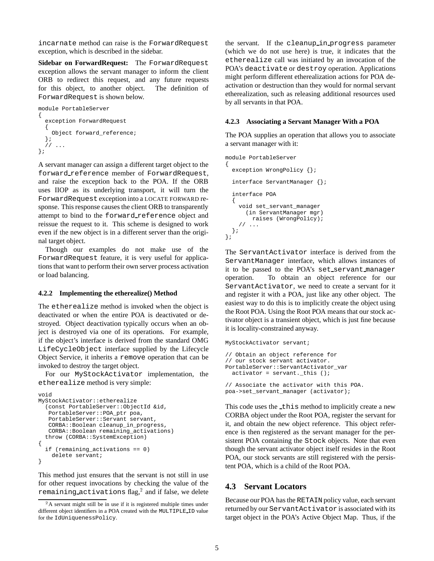incarnate method can raise is the ForwardRequest exception, which is described in the sidebar.

**Sidebar on ForwardRequest:** The ForwardRequest exception allows the servant manager to inform the client ORB to redirect this request, and any future requests for this object, to another object. The definition of ForwardRequest is shown below.

```
module PortableServer
{
  exception ForwardRequest
  {
    Object forward reference;
  };
  // ...
};
```
A servant manager can assign a different target object to the forward reference member of ForwardRequest, and raise the exception back to the POA. If the ORB uses IIOP as its underlying transport, it will turn the ForwardRequest exception into a LOCATE FORWARD response. This response causes the client ORB to transparently attempt to bind to the forward reference object and reissue the request to it. This scheme is designed to work even if the new object is in a different server than the original target object.

Though our examples do not make use of the ForwardRequest feature, it is very useful for applications that want to perform their own server process activation or load balancing.

#### **4.2.2 Implementing the etherealize() Method**

The etherealize method is invoked when the object is deactivated or when the entire POA is deactivated or destroyed. Object deactivation typically occurs when an object is destroyed via one of its operations. For example, if the object's interface is derived from the standard OMG LifeCycleObject interface supplied by the Lifecycle Object Service, it inherits a remove operation that can be invoked to destroy the target object.

For our MyStockActivator implementation, the etherealize method is very simple:

```
void
MyStockActivator::etherealize
  (const PortableServer::ObjectId &id,
   PortableServer::POA_ptr poa,
   PortableServer::Servant servant,
   CORBA::Boolean cleanup_in_progress,
   CORBA::Boolean remaining_activations)
  throw (CORBA::SystemException)
{
  if (remaining_activations == 0)
    delete servant;
}
```
This method just ensures that the servant is not still in use for other request invocations by checking the value of the remaining activations flag, $^2$  and if false, we delete the servant. If the cleanup in progress parameter (which we do not use here) is true, it indicates that the etherealize call was initiated by an invocation of the POA's deactivate or destroy operation. Applications might perform different etherealization actions for POA deactivation or destruction than they would for normal servant etherealization, such as releasing additional resources used by all servants in that POA.

#### **4.2.3 Associating a Servant Manager With a POA**

The POA supplies an operation that allows you to associate a servant manager with it:

```
module PortableServer
{
  exception WrongPolicy {};
  interface ServantManager {};
  interface POA
  {
    void set_servant_manager
      (in ServantManager mgr)
       raises (WrongPolicy);
    // ...
  };
};
```
The ServantActivator interface is derived from the ServantManager interface, which allows instances of it to be passed to the POA's set servant manager operation. To obtain an object reference for our ServantActivator, we need to create a servant for it and register it with a POA, just like any other object. The easiest way to do this is to implicitly create the object using the Root POA. Using the Root POA means that our stock activator object is a transient object, which is just fine because it is locality-constrained anyway.

```
MyStockActivator servant;
// Obtain an object reference for
// our stock servant activator.
PortableServer::ServantActivator_var
 activator = servant._this ();
// Associate the activator with this POA.
poa->set_servant_manager (activator);
```
This code uses the this method to implicitly create a new CORBA object under the Root POA, register the servant for it, and obtain the new object reference. This object reference is then registered as the servant manager for the persistent POA containing the Stock objects. Note that even though the servant activator object itself resides in the Root POA, our stock servants are still registered with the persistent POA, which is a child of the Root POA.

### **4.3 Servant Locators**

Because our POA has the RETAIN policy value, each servant returned by our ServantActivator is associated with its target object in the POA's Active Object Map. Thus, if the

<sup>&</sup>lt;sup>2</sup>A servant might still be in use if it is registered multiple times under different object identifiers in a POA created with the MULTIPLE ID value for the IdUniquenessPolicy.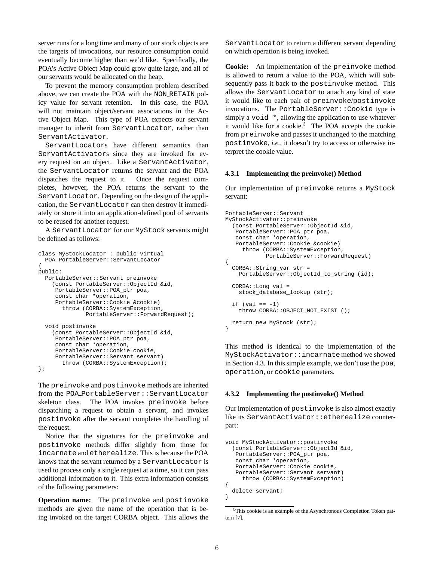server runs for a long time and many of our stock objects are the targets of invocations, our resource consumption could eventually become higher than we'd like. Specifically, the POA's Active Object Map could grow quite large, and all of our servants would be allocated on the heap.

To prevent the memory consumption problem described above, we can create the POA with the NON RETAIN policy value for servant retention. In this case, the POA will not maintain object/servant associations in the Active Object Map. This type of POA expects our servant manager to inherit from ServantLocator, rather than ServantActivator.

ServantLocators have different semantics than ServantActivators since they are invoked for every request on an object. Like a ServantActivator, the ServantLocator returns the servant and the POA dispatches the request to it. Once the request completes, however, the POA returns the servant to the ServantLocator. Depending on the design of the application, the ServantLocator can then destroy it immediately or store it into an application-defined pool of servants to be reused for another request.

A ServantLocator for our MyStock servants might be defined as follows:

```
class MyStockLocator : public virtual
 POA_PortableServer::ServantLocator
{
public:
  PortableServer::Servant preinvoke
    (const PortableServer::ObjectId &id,
    PortableServer::POA_ptr poa,
     const char *operation,
     PortableServer::Cookie &cookie)
       throw (CORBA::SystemException,
              PortableServer::ForwardRequest);
  void postinvoke
    (const PortableServer::ObjectId &id,
    PortableServer::POA_ptr poa,
    const char *operation,
     PortableServer::Cookie cookie,
     PortableServer::Servant servant)
       throw (CORBA::SystemException);
};
```
The preinvoke and postinvoke methods are inherited from the POA PortableServer::ServantLocator skeleton class. The POA invokes preinvoke before dispatching a request to obtain a servant, and invokes postinvoke after the servant completes the handling of the request.

Notice that the signatures for the preinvoke and postinvoke methods differ slightly from those for incarnate and etherealize. This is because the POA knows that the servant returned by a ServantLocator is used to process only a single request at a time, so it can pass additional information to it. This extra information consists of the following parameters:

**Operation name:** The preinvoke and postinvoke methods are given the name of the operation that is being invoked on the target CORBA object. This allows the

ServantLocator to return a different servant depending on which operation is being invoked.

**Cookie:** An implementation of the preinvoke method is allowed to return a value to the POA, which will subsequently pass it back to the postinvoke method. This allows the ServantLocator to attach any kind of state it would like to each pair of preinvoke/postinvoke invocations. The PortableServer::Cookie type is simply a void  $\star$ , allowing the application to use whatever it would like for a cookie.<sup>3</sup> The POA accepts the cookie from preinvoke and passes it unchanged to the matching postinvoke, *i.e.*, it doesn't try to access or otherwise interpret the cookie value.

#### **4.3.1 Implementing the preinvoke() Method**

Our implementation of preinvoke returns a MyStock servant:

```
PortableServer::Servant
MyStockActivator::preinvoke
  (const PortableServer::ObjectId &id,
   PortableServer::POA_ptr poa,
   const char *operation,
   PortableServer::Cookie &cookie)
    throw (CORBA::SystemException,
            PortableServer::ForwardRequest)
{
 CORBA::String_var str =
    PortableServer::ObjectId_to_string (id);
 CORBA::Long val =
    stock_database_lookup (str);
  if (val == -1)throw CORBA::OBJECT_NOT_EXIST ();
 return new MyStock (str);
}
```
This method is identical to the implementation of the MyStockActivator::incarnate method we showed in Section 4.3. In this simple example, we don't use the poa, operation, or cookie parameters.

#### **4.3.2 Implementing the postinvoke() Method**

Our implementation of postinvoke is also almost exactly like its ServantActivator::etherealize counterpart:

```
void MyStockActivator::postinvoke
  (const PortableServer::ObjectId &id,
   PortableServer::POA_ptr poa,
   const char *operation,
   PortableServer::Cookie cookie,
   PortableServer::Servant servant)
     throw (CORBA::SystemException)
{
 delete servant;
}
```
<sup>&</sup>lt;sup>3</sup>This cookie is an example of the Asynchronous Completion Token pattern [7].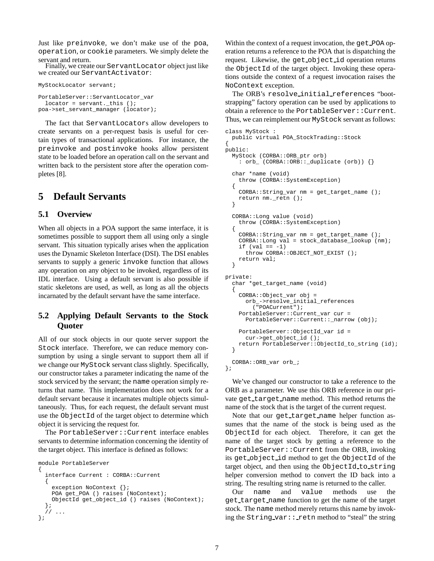Just like preinvoke, we don't make use of the poa, operation, or cookie parameters. We simply delete the servant and return.

Finally, we create our ServantLocator object just like we created our ServantActivator:

```
MyStockLocator servant;
```
PortableServer::ServantLocator\_var locator = servant. this  $()$ ; poa->set\_servant\_manager (locator);

The fact that ServantLocators allow developers to create servants on a per-request basis is useful for certain types of transactional applications. For instance, the preinvoke and postinvoke hooks allow persistent state to be loaded before an operation call on the servant and written back to the persistent store after the operation completes [8].

# **5 Default Servants**

## **5.1 Overview**

When all objects in a POA support the same interface, it is sometimes possible to support them all using only a single servant. This situation typically arises when the application uses the Dynamic Skeleton Interface (DSI). The DSI enables servants to supply a generic invoke function that allows any operation on any object to be invoked, regardless of its IDL interface. Using a default servant is also possible if static skeletons are used, as well, as long as all the objects incarnated by the default servant have the same interface.

## **5.2 Applying Default Servants to the Stock Quoter**

All of our stock objects in our quote server support the Stock interface. Therefore, we can reduce memory consumption by using a single servant to support them all if we change our MyStock servant class slightly. Specifically, our constructor takes a parameter indicating the name of the stock serviced by the servant; the name operation simply returns that name. This implementation does not work for a default servant because it incarnates multiple objects simultaneously. Thus, for each request, the default servant must use the ObjectId of the target object to determine which object it is servicing the request for.

The PortableServer::Current interface enables servants to determine information concerning the identity of the target object. This interface is defined as follows:

```
module PortableServer
{
  interface Current : CORBA::Current
  {
    exception NoContext {};
    POA get_POA () raises (NoContext);
    ObjectId get_object_id () raises (NoContext);
  };
     // ...
};
```
Within the context of a request invocation, the get\_POA operation returns a reference to the POA that is dispatching the request. Likewise, the get object id operation returns the ObjectId of the target object. Invoking these operations outside the context of a request invocation raises the NoContext exception.

The ORB's resolve initial references "bootstrapping" factory operation can be used by applications to obtain a reference to the PortableServer::Current. Thus, we can reimplement our MyStock servant as follows:

```
class MyStock :
  public virtual POA_StockTrading::Stock
{
public:
  MyStock (CORBA::ORB_ptr orb)
    : orb_ (CORBA::ORB::_duplicate (orb)) {}
  char *name (void)
    throw (CORBA::SystemException)
  {
    CORBA::String_var nm = get_target_name ();
    return nm._retn ();
  }
  CORBA::Long value (void)
    throw (CORBA::SystemException)
  {
    CORBA::String_var nm = get_target_name ();
    CORBA::Long val = stock_database_lookup (nm);
    if \left( val == -1\right)throw CORBA:: OBJECT NOT EXIST ();
    return val;
  }
private:
  char *get_target_name (void)
  {
    CORBA::Object_var obj =
      orb_->resolve_initial_references
        ("POACurrent");
    PortableServer::Current_var cur =
      PortableServer::Current::_narrow (obj);
    PortableServer::ObjectId_var id =
      cur->get_object_id ();
    return PortableServer::ObjectId_to_string (id);
  }
  CORBA::ORB_var orb_;
};
```
We've changed our constructor to take a reference to the ORB as a parameter. We use this ORB reference in our private get target name method. This method returns the name of the stock that is the target of the current request.

Note that our get\_target\_name helper function assumes that the name of the stock is being used as the ObjectId for each object. Therefore, it can get the name of the target stock by getting a reference to the PortableServer::Current from the ORB, invoking its get object id method to get the ObjectId of the target object, and then using the ObjectId to string helper conversion method to convert the ID back into a string. The resulting string name is returned to the caller.

Our name and value methods use the get target name function to get the name of the target stock. The name method merely returns this name by invoking the String var:: retn method to "steal" the string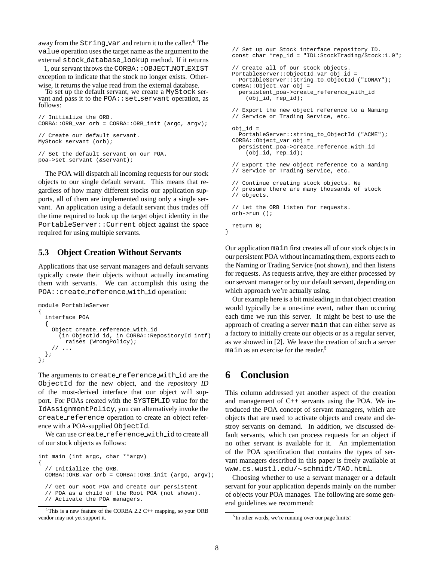away from the String\_var and return it to the caller. $^4$  The value operation uses the target name as the argument to the external stock database lookup method. If it returns  $-1$ , our servant throws the CORBA:: OBJECT\_NOT\_EXIST exception to indicate that the stock no longer exists. Otherwise, it returns the value read from the external database.

To set up the default servant, we create a MyStock servant and pass it to the  $POA:est$  servant operation, as follows:

```
// Initialize the ORB.
CORBA::ORB_var orb = CORBA::ORB_init (argc, argv);
// Create our default servant.
MyStock servant (orb);
// Set the default servant on our POA.
poa->set_servant (&servant);
```
The POA will dispatch all incoming requests for our stock objects to our single default servant. This means that regardless of how many different stocks our application supports, all of them are implemented using only a single servant. An application using a default servant thus trades off the time required to look up the target object identity in the PortableServer::Current object against the space required for using multiple servants.

#### **5.3 Object Creation Without Servants**

Applications that use servant managers and default servants typically create their objects without actually incarnating them with servants. We can accomplish this using the POA::create reference with id operation:

```
module PortableServer
{
  interface POA
  {
    Object create_reference_with_id
      (in ObjectId id, in CORBA::RepositoryId intf)
       raises (WrongPolicy);
    // ...
  };
};
```
The arguments to create\_reference\_with\_id are the ObjectId for the new object, and the *repository ID* of the most-derived interface that our object will support. For POAs created with the SYSTEM\_ID value for the IdAssignmentPolicy, you can alternatively invoke the create reference operation to create an object reference with a POA-supplied ObjectId.

We can use create reference with id to create all of our stock objects as follows:

```
int main (int argc, char **argv)
{
  // Initialize the ORB.
  CORBA::ORB_var orb = CORBA::ORB_init (argc, argv);
  // Get our Root POA and create our persistent
```

```
// POA as a child of the Root POA (not shown).
```

```
// Activate the POA managers.
```

```
<sup>4</sup>This is a new feature of the CORBA 2.2 C++ mapping, so your ORB
vendor may not yet support it.
```

```
// Set up our Stock interface repository ID.
const char *rep_id = "IDL:StockTrading/Stock:1.0";
// Create all of our stock objects.
PortableServer::ObjectId_var obj_id =
  PortableServer::string_to_ObjectId ("IONAY");
CORBA::Object_var obj =
 persistent_poa->create_reference_with_id
    (obj_id, rep_id);
// Export the new object reference to a Naming
// Service or Trading Service, etc.
obj_id =
 PortableServer::string_to_ObjectId ("ACME");
CORBA::Object_var obj =
 persistent_poa->create_reference_with_id
    (obj_id, rep_id);
// Export the new object reference to a Naming
// Service or Trading Service, etc.
// Continue creating stock objects. We
// presume there are many thousands of stock
// objects.
// Let the ORB listen for requests.
orb->run ();
return 0;
```

```
}
```
Our application main first creates all of our stock objects in our persistent POA without incarnating them, exports each to the Naming or Trading Service (not shown), and then listens for requests. As requests arrive, they are either processed by our servant manager or by our default servant, depending on which approach we're actually using.

Our example here is a bit misleading in that object creation would typically be a one-time event, rather than occuring each time we run this server. It might be best to use the approach of creating a server main that can either serve as a factory to initially create our objects or as a regular server, as we showed in [2]. We leave the creation of such a server main as an exercise for the reader.<sup>5</sup>

# **6 Conclusion**

This column addressed yet another aspect of the creation and management of C++ servants using the POA. We introduced the POA concept of servant managers, which are objects that are used to activate objects and create and destroy servants on demand. In addition, we discussed default servants, which can process requests for an object if no other servant is available for it. An implementation of the POA specification that contains the types of servant managers described in this paper is freely available at www.cs.wustl.edu/~schmidt/TAO.html.

Choosing whether to use a servant manager or a default servant for your application depends mainly on the number of objects your POA manages. The following are some general guidelines we recommend:

<sup>&</sup>lt;sup>5</sup>In other words, we're running over our page limits!